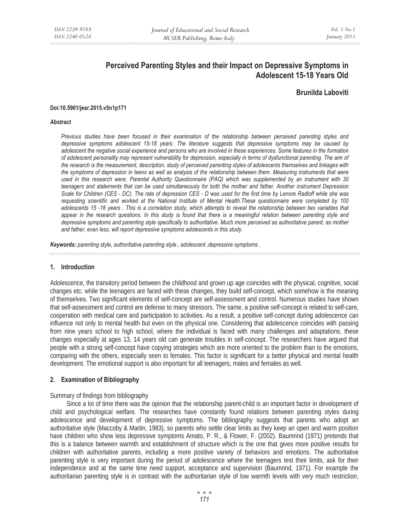# **Perceived Parenting Styles and their Impact on Depressive Symptoms in Adolescent 15-18 Years Old**

## **Brunilda Laboviti**

#### **Doi:10.5901/jesr.2015.v5n1p171**

#### *Abstract*

*Previous studies have been focused in their examination of the relationship between perceived parenting styles and depressive symptoms adolescent 15-18 years. The literature suggests that depressive symptoms may be caused by adolescent the negative social experience and persons who are involved in these experiences. Some features in the formation of adolescent personality may represent vulnerability for depression, especially in terms of dysfunctional parenting. The aim of the research is the measurement, description, study of perceived parenting styles of adolescents themselves and linkages with the symptoms of depression in teens as well as analysis of the relationship between them. Measuring instruments that were used in this research were, Parental Authority Questionnaire (PAQ) which was supplemented by an instrument with 30 teenagers and statements that can be used simultaneously for both the mother and father. Another instrument Depression Scale for Children (CES - DC). The rate of depression CES - D was used for the first time by Lenore Radloff while she was requesting scientific and worked at the National Institute of Mental Health.These questionnaire were completed by 100 adolescents 15 -18 years . This is a correlation study, which attempts to reveal the relationship between two variables that appear in the research questions. In this study is found that there is a meaningful relation between parenting style and depressive symptoms and parenting style specifically to authoritative. Much more perceived as authoritative parent, as mother and father, even less, will report depressive symptoms adolescents in this study.* 

*Keywords: parenting style, authoritative parenting style , adolescent ,depressive symptoms .*

#### **1. Introduction**

Adolescence, the transitory period between the childhood and grown up age coincides with the physical, cognitive, social changes etc. while the teenagers are faced with these changes, they build self-concept, which somehow is the meaning of themselves. Two significant elements of self-concept are self-assessment and control. Numerous studies have shown that self-assessment and control are defense to many stressors. The same, a positive self-concept is related to self-care, cooperation with medical care and participation to activities. As a result, a positive self-concept during adolescence can influence not only to mental health but even on the physical one. Considering that adolescence coincides with passing from nine years school to high school, where the individual is faced with many challenges and adaptations, these changes especially at ages 13, 14 years old can generate troubles in self-concept. The researchers have argued that people with a strong self-concept have copying strategies which are more oriented to the problem than to the emotions, comparing with the others, especially seen to females. This factor is significant for a better physical and mental health development. The emotional support is also important for all teenagers, males and females as well.

#### **2. Examination of Bibliography**

#### Summary of findings from bibliography

Since a lot of time there was the opinion that the relationship parent-child is an important factor in development of child and psychological welfare. The researches have constantly found relations between parenting styles during adolescence and development of depressive symptoms. The bibliography suggests that parents who adopt an authoritative style (Maccoby & Martin, 1983), so parents who settle clear limits as they keep an open and warm position have children who show less depressive symptoms Amato, P. R., & Flower, F. (2002). Baumrind (1971) pretends that this is a balance between warmth and establishment of structure which is the one that gives more positive results for children with authoritative parents, including a more positive variety of behaviors and emotions. The authoritative parenting style is very important during the period of adolescence where the teenagers test their limits, ask for their independence and at the same time need support, acceptance and supervision (Baumrind, 1971). For example the authoritarian parenting style is in contrast with the authoritarian style of low warmth levels with very much restriction,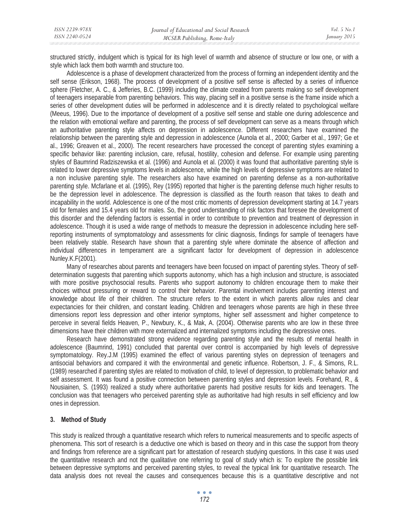| ISSN 2239-978X | Journal of Educational and Social Research | <i>Vol.</i> 5 $No.1$ |
|----------------|--------------------------------------------|----------------------|
| ISSN 2240-0524 | MCSER Publishing, Rome-Italy               | January 2015         |

structured strictly, indulgent which is typical for its high level of warmth and absence of structure or low one, or with a style which lack them both warmth and structure too.

Adolescence is a phase of development characterized from the process of forming an independent identity and the self sense (Erikson, 1968). The process of development of a positive self sense is affected by a series of influence sphere (Fletcher, A. C., & Jefferies, B.C. (1999) including the climate created from parents making so self development of teenagers inseparable from parenting behaviors. This way, placing self in a positive sense is the frame inside which a series of other development duties will be performed in adolescence and it is directly related to psychological welfare (Meeus, 1996). Due to the importance of development of a positive self sense and stable one during adolescence and the relation with emotional welfare and parenting, the process of self development can serve as a means through which an authoritative parenting style affects on depression in adolescence. Different researchers have examined the relationship between the parenting style and depression in adolescence (Aunola et al., 2000; Garber et al., 1997; Ge et al., 1996; Greaven et al., 2000). The recent researchers have processed the concept of parenting styles examining a specific behavior like: parenting inclusion, care, refusal, hostility, cohesion and defense. For example using parenting styles of Baumrind Radziszewska et al. (1996) and Aunola et al. (2000) it was found that authoritative parenting style is related to lower depressive symptoms levels in adolescence, while the high levels of depressive symptoms are related to a non inclusive parenting style. The researchers also have examined on parenting defense as a non-authoritative parenting style. Mcfarlane et al. (1995), Rey (1995) reported that higher is the parenting defense much higher results to be the depression level in adolescence. The depression is classified as the fourth reason that takes to death and incapability in the world. Adolescence is one of the most critic moments of depression development starting at 14.7 years old for females and 15.4 years old for males. So, the good understanding of risk factors that foresee the development of this disorder and the defending factors is essential in order to contribute to prevention and treatment of depression in adolescence. Though it is used a wide range of methods to measure the depression in adolescence including here selfreporting instruments of symptomatology and assessments for clinic diagnosis, findings for sample of teenagers have been relatively stable. Research have shown that a parenting style where dominate the absence of affection and individual differences in temperament are a significant factor for development of depression in adolescence Nunley.K.F(2001).

Many of researches about parents and teenagers have been focused on impact of parenting styles. Theory of selfdetermination suggests that parenting which supports autonomy, which has a high inclusion and structure, is associated with more positive psychosocial results. Parents who support autonomy to children encourage them to make their choices without pressuring or reward to control their behavior. Parental involvement includes parenting interest and knowledge about life of their children. The structure refers to the extent in which parents allow rules and clear expectancies for their children, and constant leading. Children and teenagers whose parents are high in these three dimensions report less depression and other interior symptoms, higher self assessment and higher competence to perceive in several fields Heaven, P., Newbury, K., & Mak, A. (2004). Otherwise parents who are low in these three dimensions have their children with more externalized and internalized symptoms including the depressive ones.

Research have demonstrated strong evidence regarding parenting style and the results of mental health in adolescence (Baumrind, 1991) concluded that parental over control is accompanied by high levels of depressive symptomatology. Rey.J.M (1995) examined the effect of various parenting styles on depression of teenagers and antisocial behaviors and compared it with the environmental and genetic influence. Robertson, J. F., & Simons, R.L. (1989) researched if parenting styles are related to motivation of child, to level of depression, to problematic behavior and self assessment. It was found a positive connection between parenting styles and depression levels. Forehand, R., & Nousiainen, S. (1993) realized a study where authoritative parents had positive results for kids and teenagers. The conclusion was that teenagers who perceived parenting style as authoritative had high results in self efficiency and low ones in depression.

## **3. Method of Study**

This study is realized through a quantitative research which refers to numerical measurements and to specific aspects of phenomena. This sort of research is a deductive one which is based on theory and in this case the support from theory and findings from reference are a significant part for attestation of research studying questions. In this case it was used the quantitative research and not the qualitative one referring to goal of study which is: To explore the possible link between depressive symptoms and perceived parenting styles, to reveal the typical link for quantitative research. The data analysis does not reveal the causes and consequences because this is a quantitative descriptive and not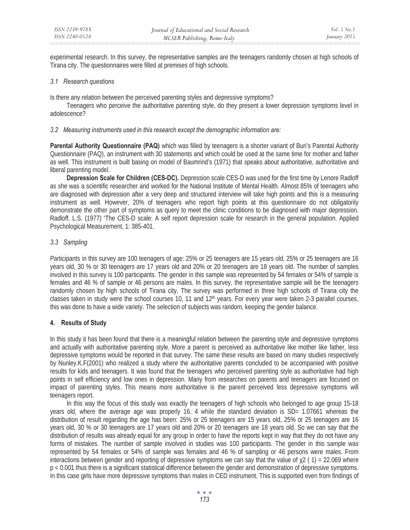experimental research. In this survey, the representative samples are the teenagers randomly chosen at high schools of Tirana city. The questionnaires were filled at premises of high schools.

#### *3.1 Research questions*

Is there any relation between the perceived parenting styles and depressive symptoms?

Teenagers who perceive the authoritative parenting style, do they present a lower depression symptoms level in adolescence?

#### *3.2 Measuring instruments used in this research except the demographic information are:*

**Parental Authority Questionnaire (PAQ)** which was filled by teenagers is a shorter variant of Buri's Parental Authority Questionnaire (PAQ), an instrument with 30 statements and which could be used at the same time for mother and father as well. This instrument is built basing on model of Baumrind's (1971) that speaks about authoritative, authoritative and liberal parenting model.

**Depression Scale for Children (CES-DC).** Depression scale CES-D was used for the first time by Lenore Radloff as she was a scientific researcher and worked for the National Institute of Mental Health. Almost 85% of teenagers who are diagnosed with depression after a very deep and structured interview will take high points and this is a measuring instrument as well. However, 20% of teenagers who report high points at this questionnaire do not obligatorily demonstrate the other part of symptoms as query to meet the clinic conditions to be diagnosed with major depression. Radloff, L.S. (1977) 'The CES-D scale: A self report depression scale for research in the general population. Applied Psychological Measurement, 1: 385-401.

## *3.3 Sampling*

Participants in this survey are 100 teenagers of age: 25% or 25 teenagers are 15 years old, 25% or 25 teenagers are 16 years old, 30 % or 30 teenagers are 17 years old and 20% or 20 teenagers are 18 years old. The number of samples involved in this survey is 100 participants. The gender in this sample was represented by 54 females or 54% of sample is females and 46 % of sample or 46 persons are males. In this survey, the representative sample will be the teenagers randomly chosen by high schools of Tirana city. The survey was performed in three high schools of Tirana city the classes taken in study were the school courses 10, 11 and  $12<sup>th</sup>$  years. For every year were taken 2-3 parallel courses, this was done to have a wide variety. The selection of subjects was random, keeping the gender balance.

## **4. Results of Study**

In this study it has been found that there is a meaningful relation between the parenting style and depressive symptoms and actually with authoritative parenting style. More a parent is perceived as authoritative like mother like father, less depressive symptoms would be reported in that survey. The same these results are based on many studies respectively by Nunley.K.F(2001) who realized a study where the authoritative parents concluded to be accompanied with positive results for kids and teenagers. It was found that the teenagers who perceived parenting style as authoritative had high points in self efficiency and low ones in depression. Many from researches on parents and teenagers are focused on impact of parenting styles. This means more authoritative is the parent perceived less depressive symptoms will teenagers report.

In this way the focus of this study was exactly the teenagers of high schools who belonged to age group 15-18 years old, where the average age was properly 16. 4 while the standard deviation is SD= 1.07661 whereas the distribution of result regarding the age has been: 25% or 25 teenagers are 15 years old, 25% or 25 teenagers are 16 years old, 30 % or 30 teenagers are 17 years old and 20% or 20 teenagers are 18 years old. So we can say that the distribution of results was already equal for any group in order to have the reports kept in way that they do not have any forms of mistakes. The number of sample involved in studies was 100 participants. The gender in this sample was represented by 54 females or 54% of sample was females and 46 % of sampling or 46 persons were males. From interactions between gender and reporting of depressive symptoms we can say that the value of  $\chi$ 2 (1) = 22.069 where p < 0.001 thus there is a significant statistical difference between the gender and demonstration of depressive symptoms. In this case girls have more depressive symptoms than males in CED instrument. This is supported even from findings of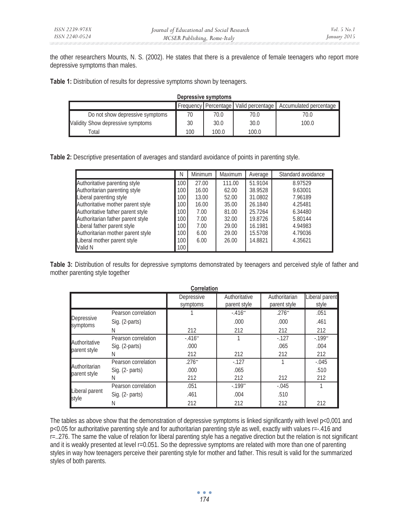the other researchers Mounts, N. S. (2002). He states that there is a prevalence of female teenagers who report more depressive symptoms than males.

**Table 1:** Distribution of results for depressive symptoms shown by teenagers.

| Depressive symptoms               |     |       |       |                                                                  |  |  |
|-----------------------------------|-----|-------|-------|------------------------------------------------------------------|--|--|
|                                   |     |       |       | Frequency Percentage   Valid percentage   Accumulated percentage |  |  |
| Do not show depressive symptoms   | 70  | 70.0  | 70.0  | 70.0                                                             |  |  |
| Validity Show depressive symptoms | 30  | 30.0  | 30.0  | 100.0                                                            |  |  |
| Total                             | 100 | 100.0 | 100.0 |                                                                  |  |  |

**Table 2:** Descriptive presentation of averages and standard avoidance of points in parenting style.

|                                   | N                | Minimum | <b>Maximum</b> | Average | Standard avoidance |
|-----------------------------------|------------------|---------|----------------|---------|--------------------|
| Authoritative parenting style     | 100              | 27.00   | 111.00         | 51.9104 | 8.97529            |
| Authoritarian parenting style     | 100              | 16.00   | 62.00          | 38.9528 | 9.63001            |
| Liberal parenting style           | 100              | 13.00   | 52.00          | 31.0802 | 7.96189            |
| Authoritative mother parent style | 100 <sub>l</sub> | 16.00   | 35.00          | 26.1840 | 4.25481            |
| Authoritative father parent style | 100              | 7.00    | 81.00          | 25.7264 | 6.34480            |
| Authoritarian father parent style | 100              | 7.00    | 32.00          | 19.8726 | 5.80144            |
| Liberal father parent style       | 100 <sub>l</sub> | 7.00    | 29.00          | 16.1981 | 4.94983            |
| Authoritarian mother parent style | 100              | 6.00    | 29.00          | 15.5708 | 4.79036            |
| Liberal mother parent style       | 100              | 6.00    | 26.00          | 14.8821 | 4.35621            |
| Valid N                           | 100              |         |                |         |                    |

**Table 3:** Distribution of results for depressive symptoms demonstrated by teenagers and perceived style of father and mother parenting style together

| <b>Correlation</b>            |                                       |                                                                                                                                                                                                         |                                   |                               |                         |  |  |
|-------------------------------|---------------------------------------|---------------------------------------------------------------------------------------------------------------------------------------------------------------------------------------------------------|-----------------------------------|-------------------------------|-------------------------|--|--|
|                               |                                       | Depressive<br>symptoms                                                                                                                                                                                  | Authoritative<br>parent style     | Authoritarian<br>parent style | Liberal parent<br>style |  |  |
|                               | Pearson correlation                   |                                                                                                                                                                                                         | $-.416"$                          | $.276$ <sup>**</sup>          | .051                    |  |  |
| Depressive<br>symptoms        | Sig. (2-parts)                        | .000<br>.000<br>212<br>212<br>212<br>$-.416"$<br>$-127$<br>.000.<br>.065<br>212<br>212<br>212<br>$.276^{44}$<br>$-127$<br>.000.<br>.065<br>212<br>212<br>212<br>.051<br>$-199$ <sup>**</sup><br>$-.045$ | .461                              |                               |                         |  |  |
|                               |                                       |                                                                                                                                                                                                         |                                   |                               | 212                     |  |  |
|                               | Pearson correlation<br>Sig. (2-parts) |                                                                                                                                                                                                         | $-199"$                           |                               |                         |  |  |
| Authoritative<br>parent style |                                       |                                                                                                                                                                                                         |                                   |                               | .004                    |  |  |
|                               |                                       |                                                                                                                                                                                                         |                                   |                               | 212                     |  |  |
| Authoritarian                 | Pearson correlation                   |                                                                                                                                                                                                         |                                   |                               | $-.045$                 |  |  |
| parent style                  | $Sig. (2-parts)$                      |                                                                                                                                                                                                         | .004<br>.510<br>212<br>212<br>212 | .510                          |                         |  |  |
|                               |                                       |                                                                                                                                                                                                         |                                   |                               | 212                     |  |  |
|                               | Pearson correlation                   |                                                                                                                                                                                                         |                                   |                               |                         |  |  |
| Liberal parent                | Sig. (2- parts)                       | .461                                                                                                                                                                                                    |                                   |                               |                         |  |  |
| style                         |                                       | 212                                                                                                                                                                                                     |                                   |                               |                         |  |  |

The tables as above show that the demonstration of depressive symptoms is linked significantly with level p<0,001 and p<0.05 for authoritative parenting style and for authoritarian parenting style as well, exactly with values r=-.416 and r=..276. The same the value of relation for liberal parenting style has a negative direction but the relation is not significant and it is weakly presented at level r=0.051. So the depressive symptoms are related with more than one of parenting styles in way how teenagers perceive their parenting style for mother and father. This result is valid for the summarized styles of both parents.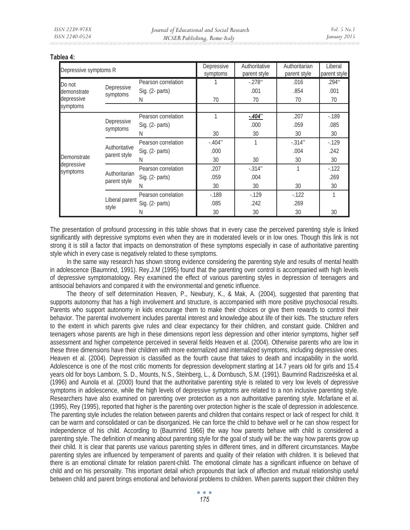| Depressive symptoms R          |  |                                                                                                                                                                                                                                                                                                                                                                                                                                                                                                                                            | Depressive | Authoritative | Authoritarian | Liberal<br>parent style |
|--------------------------------|--|--------------------------------------------------------------------------------------------------------------------------------------------------------------------------------------------------------------------------------------------------------------------------------------------------------------------------------------------------------------------------------------------------------------------------------------------------------------------------------------------------------------------------------------------|------------|---------------|---------------|-------------------------|
|                                |  | Pearson correlation                                                                                                                                                                                                                                                                                                                                                                                                                                                                                                                        |            | $-.278"$      | .016          | $.294$ <sup>**</sup>    |
| demonstrate                    |  | Sig. (2- parts)                                                                                                                                                                                                                                                                                                                                                                                                                                                                                                                            |            | .001          | .854          | .001                    |
| depressive                     |  | N                                                                                                                                                                                                                                                                                                                                                                                                                                                                                                                                          | 70         | 70            | 70            | 70                      |
|                                |  |                                                                                                                                                                                                                                                                                                                                                                                                                                                                                                                                            |            |               |               |                         |
|                                |  | Pearson correlation                                                                                                                                                                                                                                                                                                                                                                                                                                                                                                                        |            | $-404$ **     | .207          | $-189$                  |
|                                |  | Sig. (2- parts)                                                                                                                                                                                                                                                                                                                                                                                                                                                                                                                            |            | .000          | .059          | .085                    |
|                                |  | symptoms<br>parent style<br>Depressive<br>symptoms<br>Depressive<br>symptoms<br>30<br>30<br>30<br>N<br>$-.314"$<br>Pearson correlation<br>$-.404"$<br>Authoritative<br>Sig. (2- parts)<br>.000<br>.004<br>parent style<br>30<br>30<br>30<br>N<br>.207<br>$-.314"$<br>1<br>Pearson correlation<br>Authoritarian<br>Sig. (2- parts)<br>.059<br>.004<br>parent style<br>30<br>30<br>30<br>N<br>$-189$<br>$-129$<br>$-122$<br>Pearson correlation<br>Liberal parent<br>Sig. (2- parts)<br>.085<br>.242<br>.269<br>style<br>30<br>30<br>30<br>Ν |            | 30            |               |                         |
| Demonstrate                    |  |                                                                                                                                                                                                                                                                                                                                                                                                                                                                                                                                            |            |               |               | $-129$                  |
|                                |  |                                                                                                                                                                                                                                                                                                                                                                                                                                                                                                                                            |            |               | parent style  | .242                    |
| depressive                     |  |                                                                                                                                                                                                                                                                                                                                                                                                                                                                                                                                            |            |               |               | 30                      |
|                                |  |                                                                                                                                                                                                                                                                                                                                                                                                                                                                                                                                            |            |               |               | $-122$                  |
|                                |  |                                                                                                                                                                                                                                                                                                                                                                                                                                                                                                                                            |            |               |               | .269                    |
|                                |  |                                                                                                                                                                                                                                                                                                                                                                                                                                                                                                                                            | 30         |               |               |                         |
| Do not<br>symptoms<br>symptoms |  |                                                                                                                                                                                                                                                                                                                                                                                                                                                                                                                                            |            |               |               |                         |
|                                |  |                                                                                                                                                                                                                                                                                                                                                                                                                                                                                                                                            |            |               |               |                         |
|                                |  |                                                                                                                                                                                                                                                                                                                                                                                                                                                                                                                                            |            |               |               | 30                      |

#### **Tablea 4:**

The presentation of profound processing in this table shows that in every case the perceived parenting style is linked significantly with depressive symptoms even when they are in moderated levels or in low ones. Though this link is not strong it is still a factor that impacts on demonstration of these symptoms especially in case of authoritative parenting style which in every case is negatively related to these symptoms.

In the same way research has shown strong evidence considering the parenting style and results of mental health in adolescence (Baumrind, 1991). Rey.J.M (1995) found that the parenting over control is accompanied with high levels of depressive symptomatology. Rey examined the effect of various parenting styles in depression of teenagers and antisocial behaviors and compared it with the environmental and genetic influence.

The theory of self determination Heaven, P., Newbury, K., & Mak, A. (2004), suggested that parenting that supports autonomy that has a high involvement and structure, is accompanied with more positive psychosocial results. Parents who support autonomy in kids encourage them to make their choices or give them rewards to control their behavior. The parental involvement includes parental interest and knowledge about life of their kids. The structure refers to the extent in which parents give rules and clear expectancy for their children, and constant guide. Children and teenagers whose parents are high in these dimensions report less depression and other interior symptoms, higher self assessment and higher competence perceived in several fields Heaven et al. (2004). Otherwise parents who are low in these three dimensions have their children with more externalized and internalized symptoms, including depressive ones. Heaven et al. (2004). Depression is classified as the fourth cause that takes to death and incapability in the world. Adolescence is one of the most critic moments for depression development starting at 14.7 years old for girls and 15.4 years old for boys Lamborn, S. D., Mounts, N.S., Steinberg, L., & Dornbusch, S.M. (1991). Baumrind Radziszeëska et al. (1996) and Aunola et al. (2000) found that the authoritative parenting style is related to very low levels of depressive symptoms in adolescence, while the high levels of depressive symptoms are related to a non inclusive parenting style. Researchers have also examined on parenting over protection as a non authoritative parenting style. Mcfarlane et al. (1995), Rey (1995), reported that higher is the parenting over protection higher is the scale of depression in adolescence. The parenting style includes the relation between parents and children that contains respect or lack of respect for child. It can be warm and consolidated or can be disorganized. He can force the child to behave well or he can show respect for independence of his child. According to (Baumrind 1966) the way how parents behave with child is considered a parenting style. The definition of meaning about parenting style for the goal of study will be: the way how parents grow up their child*.* It is clear that parents use various parenting styles in different times, and in different circumstances. Maybe parenting styles are influenced by temperament of parents and quality of their relation with children. It is believed that there is an emotional climate for relation parent-child. The emotional climate has a significant influence on behave of child and on his personality. This important detail which propounds that lack of affection and mutual relationship useful between child and parent brings emotional and behavioral problems to children. When parents support their children they